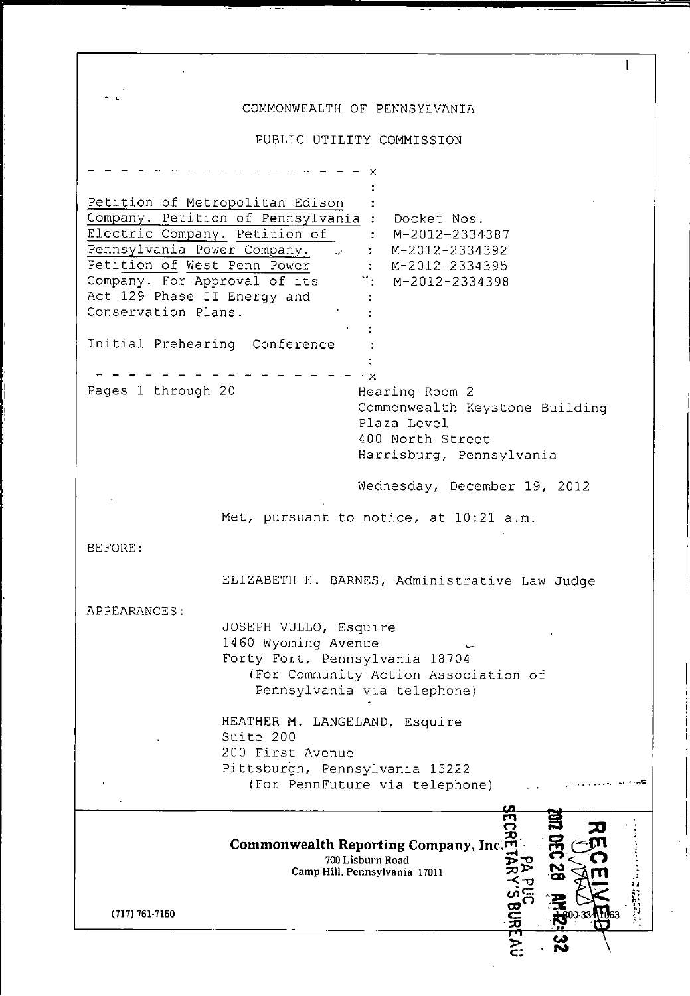## COMMONWEALTH OF PENNSYLVANIA

 $\mathbf{I}$ 

PUBLIC UTILITY COMMISSION

x Petition of Metropolitan Edison Company. Petition of Pennsylvania : Docket Nos. Electric Company. Petition of : M-2012-2334387 Pennsylvania Power Company. M-2012-2334392 Petition of West Penn Power M-2012-2334395 Company. For Approval of its  $\frac{1}{2}$ : M-2012-2334398 Act 129 Phase II Energy and Conservation Plans. Initial Prehearing Conference  $-x-$ Pages 1 through 20 Hearing Room 2 Commonwealth Keystone Building Plaza Level 400 North Street Harrisburg, Pennsylvania Wednesday, December 19, 2012 Met, pursuant to notice, at 10:21 a.m. BEFORE: ELIZABETH H. BARNES, Administrative Law Judge APPEARANCES JOSEPH VULLO, Esquire 1460 Wyoming Avenue ^ Forty Fort, Pennsylvania 18704 (For Community Action Association of Pennsylvania via telephone) HEATHER M. LANGELAND, Esquire Suite 200 200 First Avenue Pittsburgh, Pennsylvania 15222 (For PennFuture via telephone)  $\bar{\mathbf{w}}$ o TO **Commonwealth Reporting Company, Inc'.^J"**  *700 Lisburn Road Camp Hill, Pennsylvania 17011* (717) 761-7150  $\Xi$  .  $\Xi$  00-334 끈  $\sim$ 

č: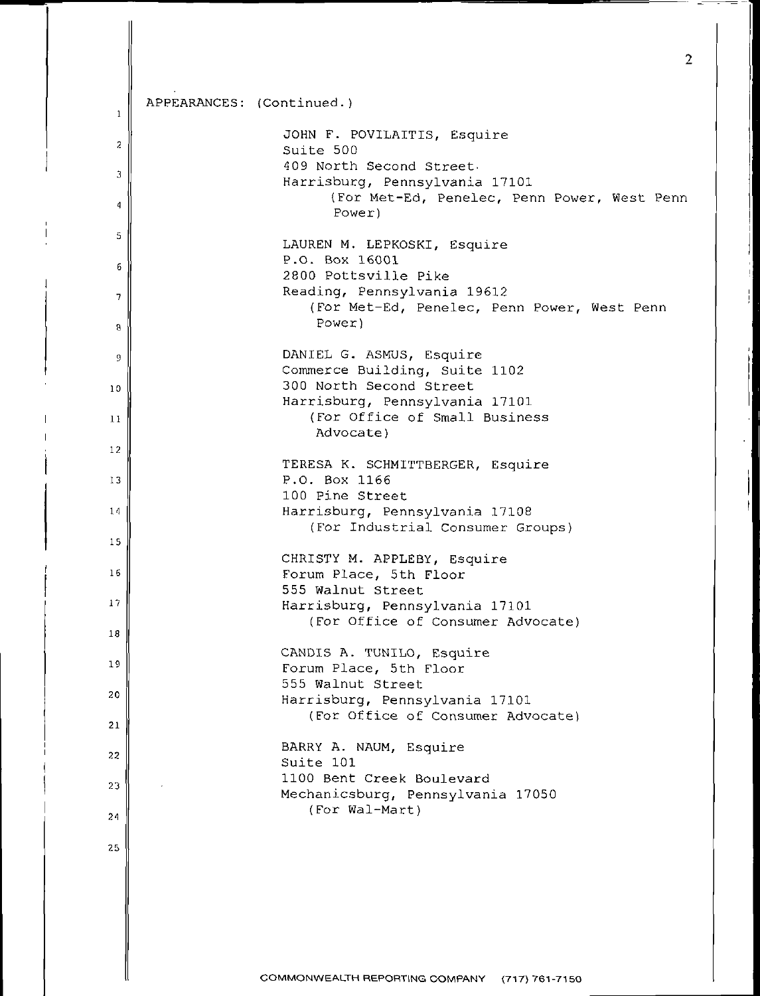| $\mathbf{1}$    | APPEARANCES: (Continued.) |                                                                               |
|-----------------|---------------------------|-------------------------------------------------------------------------------|
| 2               |                           | JOHN F. POVILAITIS, Esquire                                                   |
|                 |                           | Suite 500<br>409 North Second Street.                                         |
| 3               |                           | Harrisburg, Pennsylvania 17101<br>(For Met-Ed, Penelec, Penn Power, West Penn |
| 4               |                           | Power)                                                                        |
| 5               |                           | LAUREN M. LEPKOSKI, Esquire                                                   |
| 6               |                           | P.O. Box 16001<br>2800 Pottsville Pike                                        |
| 7               |                           | Reading, Pennsylvania 19612<br>(For Met-Ed, Penelec, Penn Power, West Penn    |
| 8               |                           | Power)                                                                        |
| 9               |                           | DANIEL G. ASMUS, Esquire                                                      |
| 10 <sub>o</sub> |                           | Commerce Building, Suite 1102<br>300 North Second Street                      |
|                 |                           | Harrisburg, Pennsylvania 17101                                                |
| 11              |                           | (For Office of Small Business<br>Advocate)                                    |
| $12 \,$         |                           |                                                                               |
| 13              |                           | TERESA K. SCHMITTBERGER, Esquire<br>P.O. Box 1166                             |
| 14              |                           | 100 Pine Street<br>Harrisburg, Pennsylvania 17108                             |
|                 |                           | (For Industrial Consumer Groups)                                              |
| 15              |                           | CHRISTY M. APPLEBY, Esquire                                                   |
| 16              |                           | Forum Place, 5th Floor                                                        |
| 17              |                           | 555 Walnut Street<br>Harrisburg, Pennsylvania 17101                           |
| 18              |                           | (For Office of Consumer Advocate)                                             |
|                 |                           | CANDIS A. TUNILO, Esquire                                                     |
| 19              |                           | Forum Place, 5th Floor<br>555 Walnut Street                                   |
| 20              |                           | Harrisburg, Pennsylvania 17101                                                |
| 21              |                           | (For Office of Consumer Advocate)                                             |
| 22              |                           | BARRY A. NAUM, Esquire                                                        |
|                 |                           | Suite 101<br>1100 Bent Creek Boulevard                                        |
| 23              |                           | Mechanicsburg, Pennsylvania 17050                                             |
| 24              |                           | (For Wal-Mart)                                                                |
| 25              |                           |                                                                               |
|                 |                           |                                                                               |
|                 |                           |                                                                               |
|                 |                           |                                                                               |
|                 |                           |                                                                               |
|                 |                           | COMMONWEALTH REPORTING COMPANY (717) 761-7150                                 |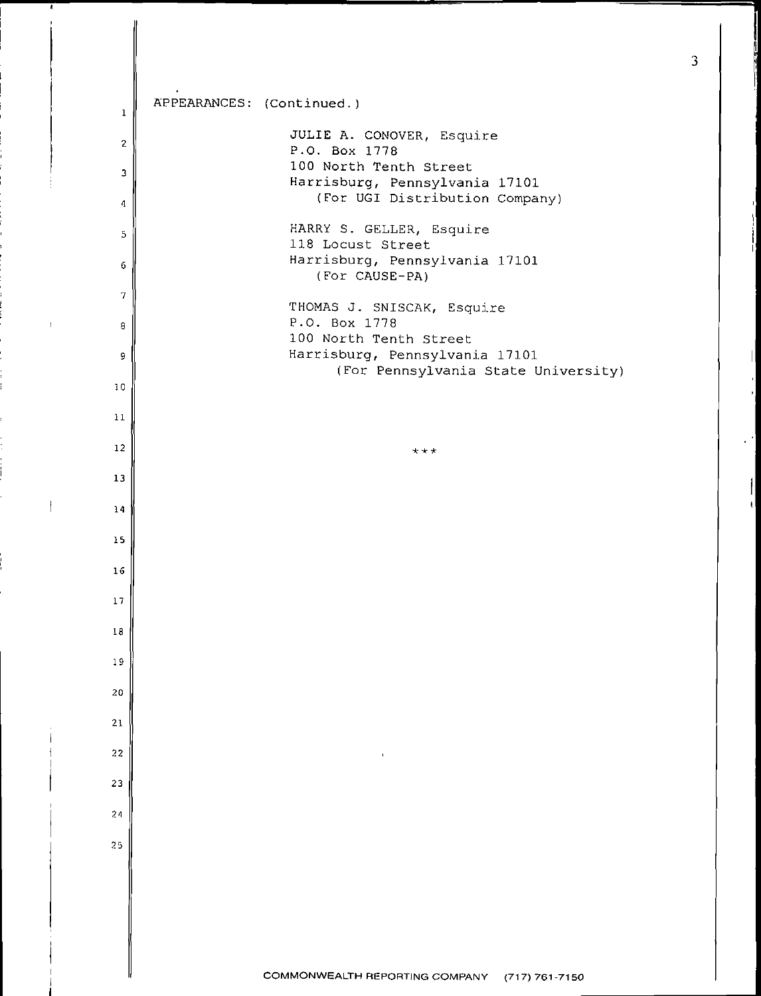| 1              | APPEARANCES: (Continued.)                                                                                   |
|----------------|-------------------------------------------------------------------------------------------------------------|
| $\mathbf{2}$   | JULIE A. CONOVER, Esquire                                                                                   |
| 3              | P.O. Box 1778<br>100 North Tenth Street<br>Harrisburg, Pennsylvania 17101<br>(For UGI Distribution Company) |
| 4              |                                                                                                             |
| 5<br>6         | HARRY S. GELLER, Esquire<br>118 Locust Street<br>Harrisburg, Pennsylvania 17101                             |
|                | (For CAUSE-PA)                                                                                              |
| $\overline{7}$ | THOMAS J. SNISCAK, Esquire<br>P.O. Box 1778                                                                 |
| 8              | 100 North Tenth Street                                                                                      |
| 9              | Harrisburg, Pennsylvania 17101<br>(For Pennsylvania State University)                                       |
| 10             |                                                                                                             |
| 11             |                                                                                                             |
| 12             | $x + x$                                                                                                     |
| 13             |                                                                                                             |
| 14             |                                                                                                             |
| 15             |                                                                                                             |
| 16             |                                                                                                             |
| 17             |                                                                                                             |
| 18             |                                                                                                             |
| 19             |                                                                                                             |
| 20             |                                                                                                             |
| 21             |                                                                                                             |
|                |                                                                                                             |
| $2\sqrt{2}$    | $\mathbf{I}$                                                                                                |
| 23             |                                                                                                             |
| 24             |                                                                                                             |
| 25             |                                                                                                             |
|                |                                                                                                             |
|                |                                                                                                             |
|                |                                                                                                             |

 $\bar{1}$ 

 $\mathcal{A}$ 

 $\epsilon$  .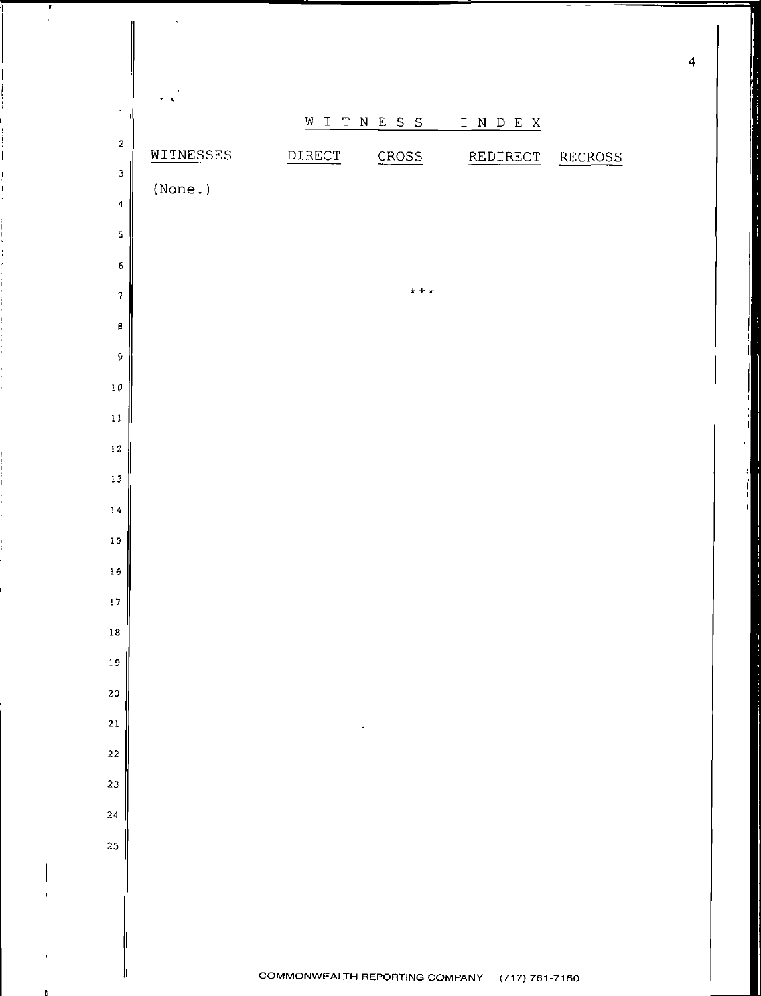

,

 $\bar{\Sigma}$ 

 $\overline{\mathbf{4}}$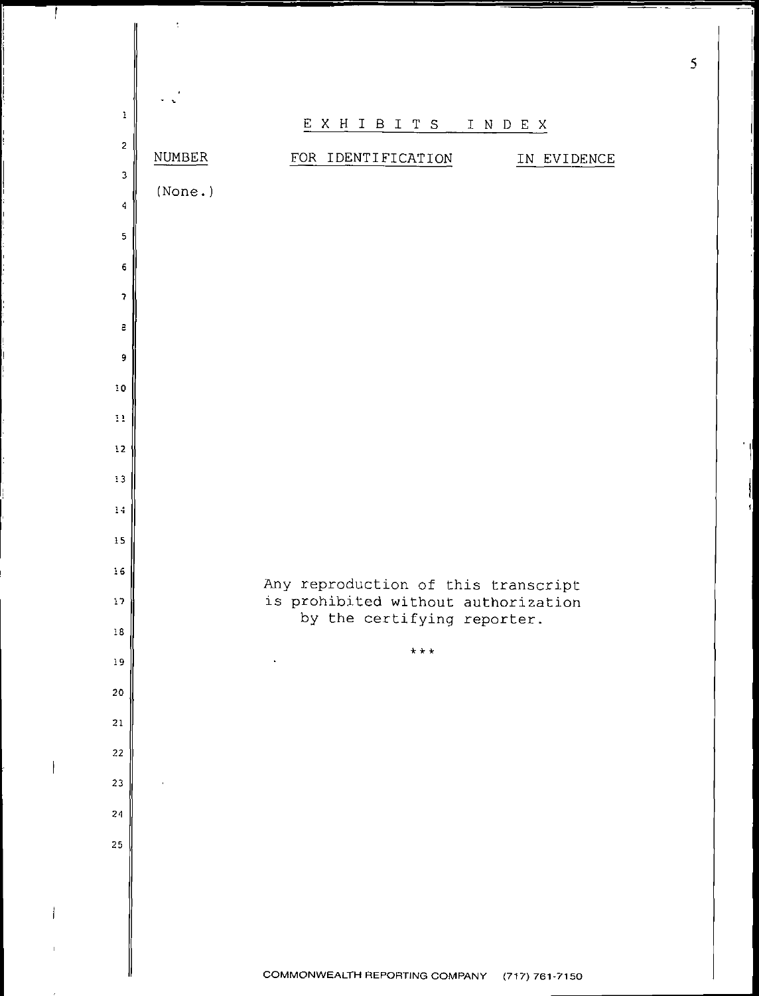

 $\overline{1}$